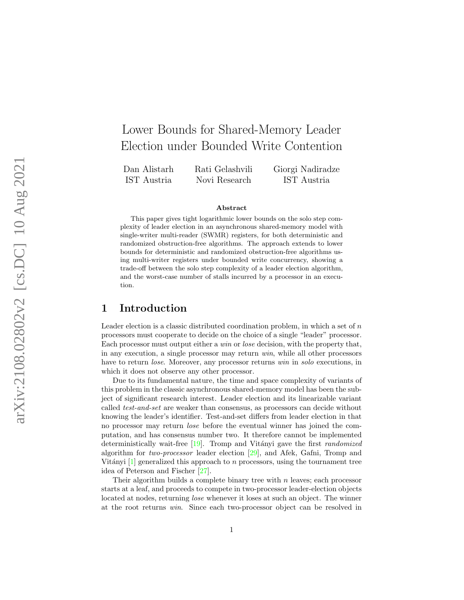# Lower Bounds for Shared-Memory Leader Election under Bounded Write Contention

Dan Alistarh IST Austria Rati Gelashvili Novi Research Giorgi Nadiradze IST Austria

#### Abstract

This paper gives tight logarithmic lower bounds on the solo step complexity of leader election in an asynchronous shared-memory model with single-writer multi-reader (SWMR) registers, for both deterministic and randomized obstruction-free algorithms. The approach extends to lower bounds for deterministic and randomized obstruction-free algorithms using multi-writer registers under bounded write concurrency, showing a trade-off between the solo step complexity of a leader election algorithm, and the worst-case number of stalls incurred by a processor in an execution.

### 1 Introduction

Leader election is a classic distributed coordination problem, in which a set of n processors must cooperate to decide on the choice of a single "leader" processor. Each processor must output either a *win* or *lose* decision, with the property that, in any execution, a single processor may return win, while all other processors have to return *lose*. Moreover, any processor returns win in solo executions, in which it does not observe any other processor.

Due to its fundamental nature, the time and space complexity of variants of this problem in the classic asynchronous shared-memory model has been the subject of significant research interest. Leader election and its linearizable variant called test-and-set are weaker than consensus, as processors can decide without knowing the leader's identifier. Test-and-set differs from leader election in that no processor may return lose before the eventual winner has joined the computation, and has consensus number two. It therefore cannot be implemented deterministically wait-free  $[19]$ . Tromp and Vitányi gave the first *randomized* algorithm for *two-processor* leader election  $[29]$ , and Afek, Gafni, Tromp and Vitányi  $[1]$  $[1]$  generalized this approach to n processors, using the tournament tree idea of Peterson and Fischer [\[27\]](#page-20-1).

Their algorithm builds a complete binary tree with  $n$  leaves; each processor starts at a leaf, and proceeds to compete in two-processor leader-election objects located at nodes, returning lose whenever it loses at such an object. The winner at the root returns win. Since each two-processor object can be resolved in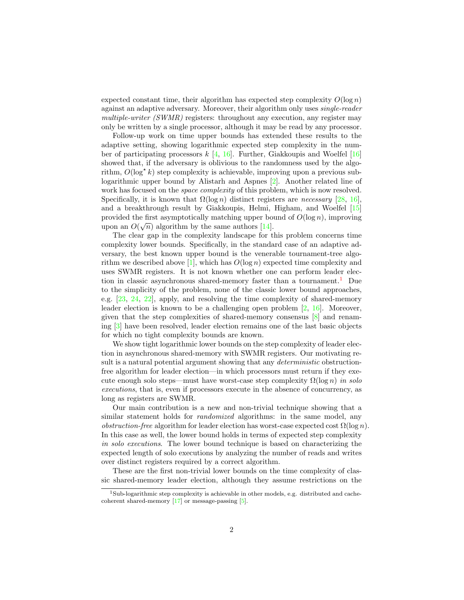expected constant time, their algorithm has expected step complexity  $O(\log n)$ against an adaptive adversary. Moreover, their algorithm only uses single-reader multiple-writer  $(SWMR)$  registers: throughout any execution, any register may only be written by a single processor, although it may be read by any processor.

Follow-up work on time upper bounds has extended these results to the adaptive setting, showing logarithmic expected step complexity in the number of participating processors  $k \, 4, 16$ . Further, Giakkoupis and Woelfel [[16\]](#page-19-1) showed that, if the adversary is oblivious to the randomness used by the algorithm,  $O(\log^* k)$  step complexity is achievable, improving upon a previous sublogarithmic upper bound by Alistarh and Aspnes [\[2\]](#page-18-2). Another related line of work has focused on the *space complexity* of this problem, which is now resolved. Specifically, it is known that  $\Omega(\log n)$  distinct registers are *necessary* [\[28,](#page-20-2) [16\]](#page-19-1), and a breakthrough result by Giakkoupis, Helmi, Higham, and Woelfel [\[15\]](#page-19-2) provided the first asymptotically matching upper bound of  $O(\log n)$ , improving upon an  $O(\sqrt{n})$  algorithm by the same authors [\[14\]](#page-19-3).

The clear gap in the complexity landscape for this problem concerns time complexity lower bounds. Specifically, in the standard case of an adaptive adversary, the best known upper bound is the venerable tournament-tree algo-rithm we described above [\[1\]](#page-18-0), which has  $O(\log n)$  expected time complexity and uses SWMR registers. It is not known whether one can perform leader elec-tion in classic asynchronous shared-memory faster than a tournament.<sup>[1](#page-1-0)</sup> Due to the simplicity of the problem, none of the classic lower bound approaches, e.g. [\[23,](#page-19-4) [24,](#page-19-5) [22\]](#page-19-6), apply, and resolving the time complexity of shared-memory leader election is known to be a challenging open problem [\[2,](#page-18-2) [16\]](#page-19-1). Moreover, given that the step complexities of shared-memory consensus [\[8\]](#page-18-3) and renaming [\[3\]](#page-18-4) have been resolved, leader election remains one of the last basic objects for which no tight complexity bounds are known.

We show tight logarithmic lower bounds on the step complexity of leader election in asynchronous shared-memory with SWMR registers. Our motivating result is a natural potential argument showing that any *deterministic* obstructionfree algorithm for leader election—in which processors must return if they execute enough solo steps—must have worst-case step complexity  $\Omega(\log n)$  in solo executions, that is, even if processors execute in the absence of concurrency, as long as registers are SWMR.

Our main contribution is a new and non-trivial technique showing that a similar statement holds for *randomized* algorithms: in the same model, any *obstruction-free* algorithm for leader election has worst-case expected cost  $\Omega(\log n)$ . In this case as well, the lower bound holds in terms of expected step complexity in solo executions. The lower bound technique is based on characterizing the expected length of solo executions by analyzing the number of reads and writes over distinct registers required by a correct algorithm.

These are the first non-trivial lower bounds on the time complexity of classic shared-memory leader election, although they assume restrictions on the

<span id="page-1-0"></span><sup>&</sup>lt;sup>1</sup>Sub-logarithmic step complexity is achievable in other models, e.g. distributed and cachecoherent shared-memory  $\left|17\right|$  or message-passing  $\left|5\right|$ .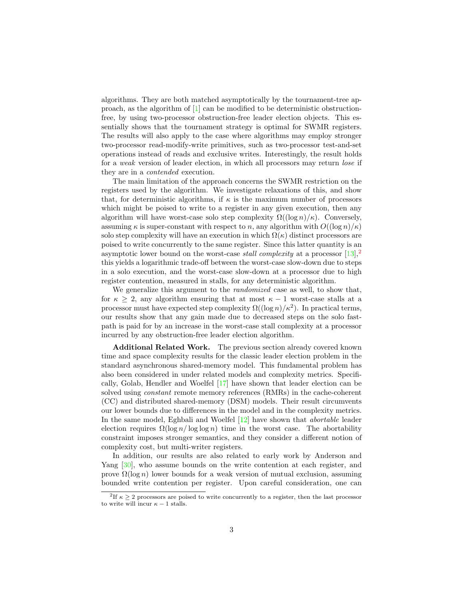algorithms. They are both matched asymptotically by the tournament-tree approach, as the algorithm of [\[1\]](#page-18-0) can be modified to be deterministic obstructionfree, by using two-processor obstruction-free leader election objects. This essentially shows that the tournament strategy is optimal for SWMR registers. The results will also apply to the case where algorithms may employ stronger two-processor read-modify-write primitives, such as two-processor test-and-set operations instead of reads and exclusive writes. Interestingly, the result holds for a weak version of leader election, in which all processors may return lose if they are in a contended execution.

The main limitation of the approach concerns the SWMR restriction on the registers used by the algorithm. We investigate relaxations of this, and show that, for deterministic algorithms, if  $\kappa$  is the maximum number of processors which might be poised to write to a register in any given execution, then any algorithm will have worst-case solo step complexity  $\Omega((\log n)/\kappa)$ . Conversely, assuming  $\kappa$  is super-constant with respect to n, any algorithm with  $O((\log n)/\kappa)$ solo step complexity will have an execution in which  $\Omega(\kappa)$  distinct processors are poised to write concurrently to the same register. Since this latter quantity is an asymptotic lower bound on the worst-case *stall complexity* at a processor  $[13]$ ,<sup>[2](#page-2-0)</sup> this yields a logarithmic trade-off between the worst-case slow-down due to steps in a solo execution, and the worst-case slow-down at a processor due to high register contention, measured in stalls, for any deterministic algorithm.

We generalize this argument to the *randomized* case as well, to show that, for  $\kappa \geq 2$ , any algorithm ensuring that at most  $\kappa - 1$  worst-case stalls at a processor must have expected step complexity  $\Omega((\log n)/\kappa^2)$ . In practical terms, our results show that any gain made due to decreased steps on the solo fastpath is paid for by an increase in the worst-case stall complexity at a processor incurred by any obstruction-free leader election algorithm.

Additional Related Work. The previous section already covered known time and space complexity results for the classic leader election problem in the standard asynchronous shared-memory model. This fundamental problem has also been considered in under related models and complexity metrics. Specifically, Golab, Hendler and Woelfel [\[17\]](#page-19-7) have shown that leader election can be solved using constant remote memory references (RMRs) in the cache-coherent (CC) and distributed shared-memory (DSM) models. Their result circumvents our lower bounds due to differences in the model and in the complexity metrics. In the same model, Eghbali and Woelfel  $[12]$  have shown that *abortable* leader election requires  $\Omega(\log n / \log \log n)$  time in the worst case. The abortability constraint imposes stronger semantics, and they consider a different notion of complexity cost, but multi-writer registers.

In addition, our results are also related to early work by Anderson and Yang [\[30\]](#page-20-3), who assume bounds on the write contention at each register, and prove  $\Omega(\log n)$  lower bounds for a weak version of mutual exclusion, assuming bounded write contention per register. Upon careful consideration, one can

<span id="page-2-0"></span><sup>&</sup>lt;sup>2</sup>If  $\kappa \geq 2$  processors are poised to write concurrently to a register, then the last processor to write will incur  $\kappa - 1$  stalls.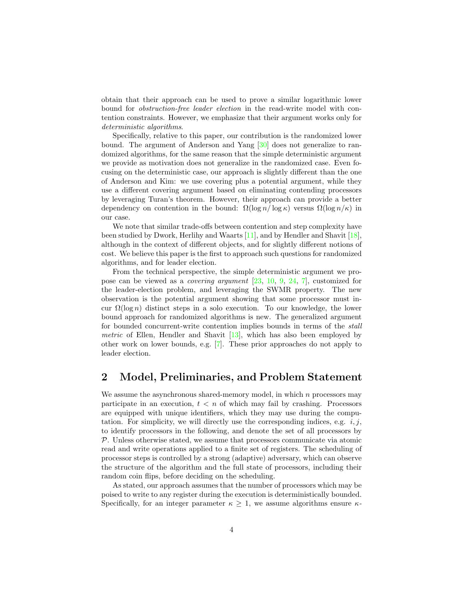obtain that their approach can be used to prove a similar logarithmic lower bound for obstruction-free leader election in the read-write model with contention constraints. However, we emphasize that their argument works only for deterministic algorithms.

Specifically, relative to this paper, our contribution is the randomized lower bound. The argument of Anderson and Yang [\[30\]](#page-20-3) does not generalize to randomized algorithms, for the same reason that the simple deterministic argument we provide as motivation does not generalize in the randomized case. Even focusing on the deterministic case, our approach is slightly different than the one of Anderson and Kim: we use covering plus a potential argument, while they use a different covering argument based on eliminating contending processors by leveraging Turan's theorem. However, their approach can provide a better dependency on contention in the bound:  $\Omega(\log n / \log \kappa)$  versus  $\Omega(\log n / \kappa)$  in our case.

We note that similar trade-offs between contention and step complexity have been studied by Dwork, Herlihy and Waarts [\[11\]](#page-18-6), and by Hendler and Shavit [\[18\]](#page-19-10), although in the context of different objects, and for slightly different notions of cost. We believe this paper is the first to approach such questions for randomized algorithms, and for leader election.

From the technical perspective, the simple deterministic argument we propose can be viewed as a covering argument [\[23,](#page-19-4) [10,](#page-18-7) [9,](#page-18-8) [24,](#page-19-5) [7\]](#page-18-9), customized for the leader-election problem, and leveraging the SWMR property. The new observation is the potential argument showing that some processor must incur  $\Omega(\log n)$  distinct steps in a solo execution. To our knowledge, the lower bound approach for randomized algorithms is new. The generalized argument for bounded concurrent-write contention implies bounds in terms of the stall *metric* of Ellen, Hendler and Shavit  $[13]$ , which has also been employed by other work on lower bounds, e.g. [\[7\]](#page-18-9). These prior approaches do not apply to leader election.

### 2 Model, Preliminaries, and Problem Statement

We assume the asynchronous shared-memory model, in which  $n$  processors may participate in an execution,  $t < n$  of which may fail by crashing. Processors are equipped with unique identifiers, which they may use during the computation. For simplicity, we will directly use the corresponding indices, e.g.  $i, j$ , to identify processors in the following, and denote the set of all processors by P. Unless otherwise stated, we assume that processors communicate via atomic read and write operations applied to a finite set of registers. The scheduling of processor steps is controlled by a strong (adaptive) adversary, which can observe the structure of the algorithm and the full state of processors, including their random coin flips, before deciding on the scheduling.

As stated, our approach assumes that the number of processors which may be poised to write to any register during the execution is deterministically bounded. Specifically, for an integer parameter  $\kappa \geq 1$ , we assume algorithms ensure  $\kappa$ -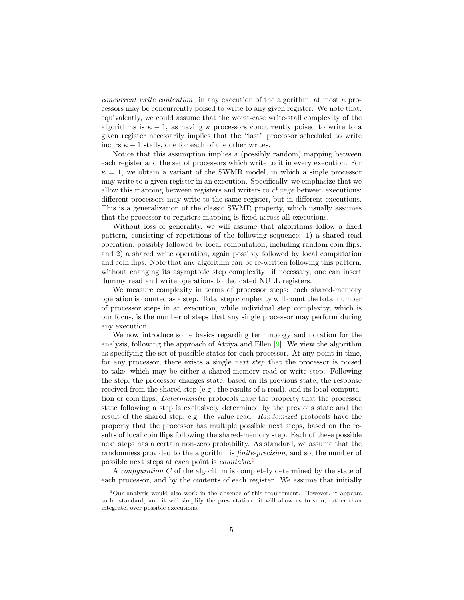concurrent write contention: in any execution of the algorithm, at most  $\kappa$  processors may be concurrently poised to write to any given register. We note that, equivalently, we could assume that the worst-case write-stall complexity of the algorithms is  $\kappa - 1$ , as having  $\kappa$  processors concurrently poised to write to a given register necessarily implies that the "last" processor scheduled to write incurs  $\kappa - 1$  stalls, one for each of the other writes.

Notice that this assumption implies a (possibly random) mapping between each register and the set of processors which write to it in every execution. For  $\kappa = 1$ , we obtain a variant of the SWMR model, in which a single processor may write to a given register in an execution. Specifically, we emphasize that we allow this mapping between registers and writers to change between executions: different processors may write to the same register, but in different executions. This is a generalization of the classic SWMR property, which usually assumes that the processor-to-registers mapping is fixed across all executions.

Without loss of generality, we will assume that algorithms follow a fixed pattern, consisting of repetitions of the following sequence: 1) a shared read operation, possibly followed by local computation, including random coin flips, and 2) a shared write operation, again possibly followed by local computation and coin flips. Note that any algorithm can be re-written following this pattern, without changing its asymptotic step complexity: if necessary, one can insert dummy read and write operations to dedicated NULL registers.

We measure complexity in terms of processor steps: each shared-memory operation is counted as a step. Total step complexity will count the total number of processor steps in an execution, while individual step complexity, which is our focus, is the number of steps that any single processor may perform during any execution.

We now introduce some basics regarding terminology and notation for the analysis, following the approach of Attiya and Ellen [\[9\]](#page-18-8). We view the algorithm as specifying the set of possible states for each processor. At any point in time, for any processor, there exists a single next step that the processor is poised to take, which may be either a shared-memory read or write step. Following the step, the processor changes state, based on its previous state, the response received from the shared step (e.g., the results of a read), and its local computation or coin flips. Deterministic protocols have the property that the processor state following a step is exclusively determined by the previous state and the result of the shared step, e.g. the value read. Randomized protocols have the property that the processor has multiple possible next steps, based on the results of local coin flips following the shared-memory step. Each of these possible next steps has a certain non-zero probability. As standard, we assume that the randomness provided to the algorithm is finite-precision, and so, the number of possible next steps at each point is *countable*.<sup>[3](#page-4-0)</sup>

A configuration C of the algorithm is completely determined by the state of each processor, and by the contents of each register. We assume that initially

<span id="page-4-0"></span><sup>3</sup>Our analysis would also work in the absence of this requirement. However, it appears to be standard, and it will simplify the presentation: it will allow us to sum, rather than integrate, over possible executions.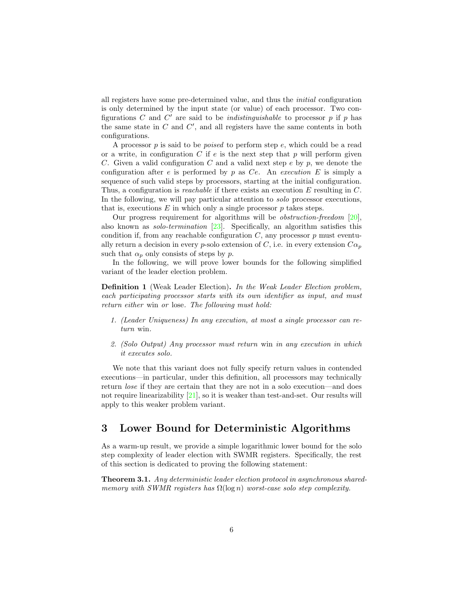all registers have some pre-determined value, and thus the initial configuration is only determined by the input state (or value) of each processor. Two configurations C and C' are said to be *indistinguishable* to processor  $p$  if  $p$  has the same state in  $C$  and  $C'$ , and all registers have the same contents in both configurations.

A processor  $p$  is said to be *poised* to perform step  $e$ , which could be a read or a write, in configuration C if  $e$  is the next step that p will perform given C. Given a valid configuration C and a valid next step  $e$  by  $p$ , we denote the configuration after e is performed by p as Ce. An execution E is simply a sequence of such valid steps by processors, starting at the initial configuration. Thus, a configuration is reachable if there exists an execution E resulting in C. In the following, we will pay particular attention to solo processor executions, that is, executions  $E$  in which only a single processor  $p$  takes steps.

Our progress requirement for algorithms will be *obstruction-freedom* [\[20\]](#page-19-11), also known as solo-termination [\[23\]](#page-19-4). Specifically, an algorithm satisfies this condition if, from any reachable configuration  $C$ , any processor  $p$  must eventually return a decision in every p-solo extension of C, i.e. in every extension  $C\alpha_p$ such that  $\alpha_p$  only consists of steps by p.

In the following, we will prove lower bounds for the following simplified variant of the leader election problem.

<span id="page-5-1"></span>Definition 1 (Weak Leader Election). In the Weak Leader Election problem, each participating processor starts with its own identifier as input, and must return either win or lose. The following must hold:

- 1. (Leader Uniqueness) In any execution, at most a single processor can return win.
- 2. (Solo Output) Any processor must return win in any execution in which it executes solo.

We note that this variant does not fully specify return values in contended executions—in particular, under this definition, all processors may technically return lose if they are certain that they are not in a solo execution—and does not require linearizability [\[21\]](#page-19-12), so it is weaker than test-and-set. Our results will apply to this weaker problem variant.

### 3 Lower Bound for Deterministic Algorithms

As a warm-up result, we provide a simple logarithmic lower bound for the solo step complexity of leader election with SWMR registers. Specifically, the rest of this section is dedicated to proving the following statement:

<span id="page-5-0"></span>Theorem 3.1. Any deterministic leader election protocol in asynchronous sharedmemory with SWMR registers has  $\Omega(\log n)$  worst-case solo step complexity.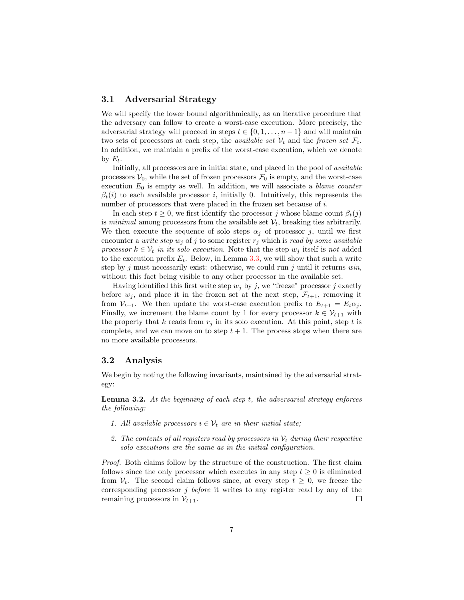#### 3.1 Adversarial Strategy

We will specify the lower bound algorithmically, as an iterative procedure that the adversary can follow to create a worst-case execution. More precisely, the adversarial strategy will proceed in steps  $t \in \{0, 1, \ldots, n-1\}$  and will maintain two sets of processors at each step, the *available set*  $V_t$  and the *frozen set*  $\mathcal{F}_t$ . In addition, we maintain a prefix of the worst-case execution, which we denote by  $E_t$ .

Initially, all processors are in initial state, and placed in the pool of available processors  $V_0$ , while the set of frozen processors  $\mathcal{F}_0$  is empty, and the worst-case execution  $E_0$  is empty as well. In addition, we will associate a *blame counter*  $\beta_t(i)$  to each available processor i, initially 0. Intuitively, this represents the number of processors that were placed in the frozen set because of i.

In each step  $t \geq 0$ , we first identify the processor j whose blame count  $\beta_t(j)$ is minimal among processors from the available set  $\mathcal{V}_t$ , breaking ties arbitrarily. We then execute the sequence of solo steps  $\alpha_j$  of processor j, until we first encounter a *write step*  $w_j$  of j to some register  $r_j$  which is *read by some available* processor  $k \in V_t$  in its solo execution. Note that the step  $w_j$  itself is not added to the execution prefix  $E_t$ . Below, in Lemma [3.3,](#page-7-0) we will show that such a write step by j must necessarily exist: otherwise, we could run j until it returns  $win$ , without this fact being visible to any other processor in the available set.

Having identified this first write step  $w_i$  by j, we "freeze" processor j exactly before  $w_j$ , and place it in the frozen set at the next step,  $\mathcal{F}_{t+1}$ , removing it from  $V_{t+1}$ . We then update the worst-case execution prefix to  $E_{t+1} = E_t \alpha_j$ . Finally, we increment the blame count by 1 for every processor  $k \in \mathcal{V}_{t+1}$  with the property that k reads from  $r_i$  in its solo execution. At this point, step t is complete, and we can move on to step  $t + 1$ . The process stops when there are no more available processors.

#### 3.2 Analysis

We begin by noting the following invariants, maintained by the adversarial strategy:

<span id="page-6-0"></span>**Lemma 3.2.** At the beginning of each step  $t$ , the adversarial strategy enforces the following:

- 1. All available processors  $i \in V_t$  are in their initial state;
- 2. The contents of all registers read by processors in  $\mathcal{V}_t$  during their respective solo executions are the same as in the initial configuration.

Proof. Both claims follow by the structure of the construction. The first claim follows since the only processor which executes in any step  $t \geq 0$  is eliminated from  $V_t$ . The second claim follows since, at every step  $t \geq 0$ , we freeze the corresponding processor j before it writes to any register read by any of the remaining processors in  $\mathcal{V}_{t+1}$ .  $\Box$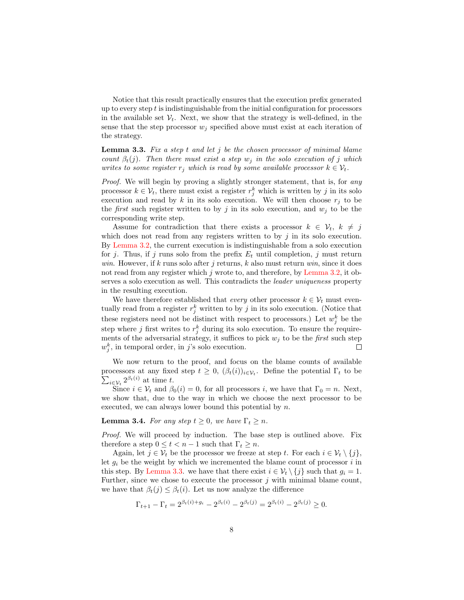Notice that this result practically ensures that the execution prefix generated up to every step  $t$  is indistinguishable from the initial configuration for processors in the available set  $V_t$ . Next, we show that the strategy is well-defined, in the sense that the step processor  $w_j$  specified above must exist at each iteration of the strategy.

<span id="page-7-0"></span>**Lemma 3.3.** Fix a step t and let  $j$  be the chosen processor of minimal blame count  $\beta_t(j)$ . Then there must exist a step w<sub>i</sub> in the solo execution of j which writes to some register  $r_i$  which is read by some available processor  $k \in V_t$ .

Proof. We will begin by proving a slightly stronger statement, that is, for any processor  $k \in \mathcal{V}_t$ , there must exist a register  $r_j^k$  which is written by j in its solo execution and read by k in its solo execution. We will then choose  $r_j$  to be the *first* such register written to by j in its solo execution, and  $w<sub>j</sub>$  to be the corresponding write step.

Assume for contradiction that there exists a processor  $k \in \mathcal{V}_t$ ,  $k \neq j$ which does not read from any registers written to by  $j$  in its solo execution. By [Lemma 3.2,](#page-6-0) the current execution is indistinguishable from a solo execution for j. Thus, if j runs solo from the prefix  $E_t$  until completion, j must return win. However, if k runs solo after j returns, k also must return win, since it does not read from any register which  $j$  wrote to, and therefore, by [Lemma 3.2,](#page-6-0) it observes a solo execution as well. This contradicts the leader uniqueness property in the resulting execution.

We have therefore established that *every* other processor  $k \in V_t$  must eventually read from a register  $r_j^k$  written to by j in its solo execution. (Notice that these registers need not be distinct with respect to processors.) Let  $w_j^k$  be the step where j first writes to  $r_j^k$  during its solo execution. To ensure the requirements of the adversarial strategy, it suffices to pick  $w_j$  to be the *first* such step  $w_j^k$ , in temporal order, in j's solo execution.  $\Box$ 

We now return to the proof, and focus on the blame counts of available processors at any fixed step  $t \geq 0$ ,  $(\beta_t(i))_{i \in \mathcal{V}_t}$ . Define the potential  $\Gamma_t$  to be  $\sum_{i\in\mathcal{V}_t} 2^{\beta_t(i)}$  at time t.

Since  $i \in \mathcal{V}_t$  and  $\beta_0(i) = 0$ , for all processors i, we have that  $\Gamma_0 = n$ . Next, we show that, due to the way in which we choose the next processor to be executed, we can always lower bound this potential by n.

<span id="page-7-1"></span>**Lemma 3.4.** For any step  $t \geq 0$ , we have  $\Gamma_t \geq n$ .

Proof. We will proceed by induction. The base step is outlined above. Fix therefore a step  $0 \leq t < n-1$  such that  $\Gamma_t \geq n$ .

Again, let  $j \in V_t$  be the processor we freeze at step t. For each  $i \in V_t \setminus \{j\},\$ let  $g_i$  be the weight by which we incremented the blame count of processor i in this step. By [Lemma 3.3.](#page-7-0) we have that there exist  $i \in \mathcal{V}_t \setminus \{j\}$  such that  $g_i = 1$ . Further, since we chose to execute the processor  $j$  with minimal blame count, we have that  $\beta_t(j) \leq \beta_t(i)$ . Let us now analyze the difference

$$
\Gamma_{t+1} - \Gamma_t = 2^{\beta_t(i) + g_i} - 2^{\beta_t(i)} - 2^{\beta_t(j)} = 2^{\beta_t(i)} - 2^{\beta_t(j)} \ge 0.
$$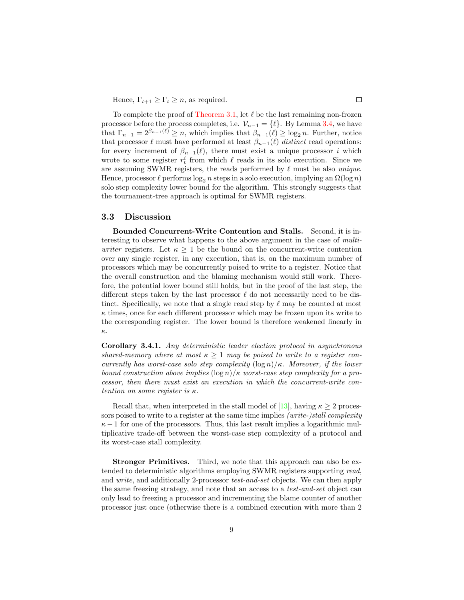Hence,  $\Gamma_{t+1} \geq \Gamma_t \geq n$ , as required.

To complete the proof of [Theorem 3.1,](#page-5-0) let  $\ell$  be the last remaining non-frozen processor before the process completes, i.e.  $\mathcal{V}_{n-1} = \{ \ell \}$ . By Lemma [3.4,](#page-7-1) we have that  $\Gamma_{n-1} = 2^{\beta_{n-1}(\ell)} \geq n$ , which implies that  $\beta_{n-1}(\ell) \geq \log_2 n$ . Further, notice that processor  $\ell$  must have performed at least  $\beta_{n-1}(\ell)$  distinct read operations: for every increment of  $\beta_{n-1}(\ell)$ , there must exist a unique processor *i* which wrote to some register  $r_t^i$  from which  $\ell$  reads in its solo execution. Since we are assuming SWMR registers, the reads performed by  $\ell$  must be also unique. Hence, processor  $\ell$  performs  $\log_2 n$  steps in a solo execution, implying an  $\Omega(\log n)$ solo step complexity lower bound for the algorithm. This strongly suggests that the tournament-tree approach is optimal for SWMR registers.

#### 3.3 Discussion

Bounded Concurrent-Write Contention and Stalls. Second, it is interesting to observe what happens to the above argument in the case of multiwriter registers. Let  $\kappa \geq 1$  be the bound on the concurrent-write contention over any single register, in any execution, that is, on the maximum number of processors which may be concurrently poised to write to a register. Notice that the overall construction and the blaming mechanism would still work. Therefore, the potential lower bound still holds, but in the proof of the last step, the different steps taken by the last processor  $\ell$  do not necessarily need to be distinct. Specifically, we note that a single read step by  $\ell$  may be counted at most  $\kappa$  times, once for each different processor which may be frozen upon its write to the corresponding register. The lower bound is therefore weakened linearly in κ.

Corollary 3.4.1. Any deterministic leader election protocol in asynchronous shared-memory where at most  $\kappa > 1$  may be poised to write to a register concurrently has worst-case solo step complexity  $(\log n)/\kappa$ . Moreover, if the lower bound construction above implies  $(\log n)/\kappa$  worst-case step complexity for a processor, then there must exist an execution in which the concurrent-write contention on some register is κ.

Recall that, when interpreted in the stall model of [\[13\]](#page-19-8), having  $\kappa \geq 2$  processors poised to write to a register at the same time implies *(write-)stall complexity*  $\kappa - 1$  for one of the processors. Thus, this last result implies a logarithmic multiplicative trade-off between the worst-case step complexity of a protocol and its worst-case stall complexity.

Stronger Primitives. Third, we note that this approach can also be extended to deterministic algorithms employing SWMR registers supporting read, and write, and additionally 2-processor test-and-set objects. We can then apply the same freezing strategy, and note that an access to a test-and-set object can only lead to freezing a processor and incrementing the blame counter of another processor just once (otherwise there is a combined execution with more than 2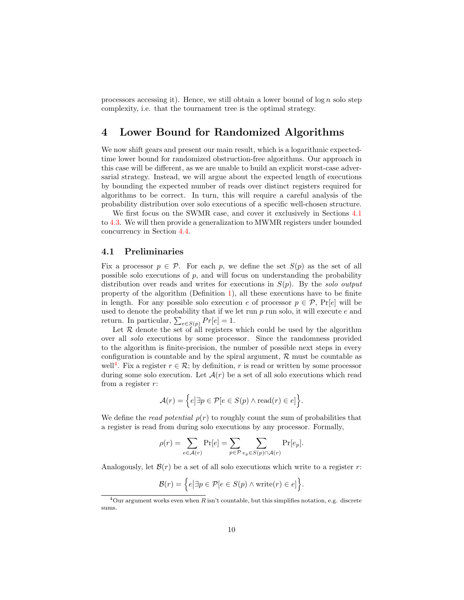processors accessing it). Hence, we still obtain a lower bound of  $\log n$  solo step complexity, i.e. that the tournament tree is the optimal strategy.

### 4 Lower Bound for Randomized Algorithms

We now shift gears and present our main result, which is a logarithmic expectedtime lower bound for randomized obstruction-free algorithms. Our approach in this case will be different, as we are unable to build an explicit worst-case adversarial strategy. Instead, we will argue about the expected length of executions by bounding the expected number of reads over distinct registers required for algorithms to be correct. In turn, this will require a careful analysis of the probability distribution over solo executions of a specific well-chosen structure.

We first focus on the SWMR case, and cover it exclusively in Sections [4.1](#page-9-0) to [4.3.](#page-13-0) We will then provide a generalization to MWMR registers under bounded concurrency in Section [4.4.](#page-13-1)

#### <span id="page-9-0"></span>4.1 Preliminaries

Fix a processor  $p \in \mathcal{P}$ . For each p, we define the set  $S(p)$  as the set of all possible solo executions of  $p$ , and will focus on understanding the probability distribution over reads and writes for executions in  $S(p)$ . By the solo output property of the algorithm (Definition [1\)](#page-5-1), all these executions have to be finite in length. For any possible solo execution e of processor  $p \in \mathcal{P}$ , Pr[e] will be used to denote the probability that if we let run  $p$  run solo, it will execute  $e$  and return. In particular,  $\sum_{e \in S(p)} Pr[e] = 1$ .

Let  $R$  denote the set of all registers which could be used by the algorithm over all solo executions by some processor. Since the randomness provided to the algorithm is finite-precision, the number of possible next steps in every configuration is countable and by the spiral argument,  $R$  must be countable as well<sup>[4](#page-9-1)</sup>. Fix a register  $r \in \mathcal{R}$ ; by definition, r is read or written by some processor during some solo execution. Let  $\mathcal{A}(r)$  be a set of all solo executions which read from a register  $r$ :

$$
\mathcal{A}(r) = \Big\{ e \big| \exists p \in \mathcal{P} [e \in S(p) \land \text{read}(r) \in e] \Big\}.
$$

We define the *read potential*  $\rho(r)$  to roughly count the sum of probabilities that a register is read from during solo executions by any processor. Formally,

$$
\rho(r) = \sum_{e \in \mathcal{A}(r)} \Pr[e] = \sum_{p \in \mathcal{P}} \sum_{e_p \in S(p) \cap \mathcal{A}(r)} \Pr[e_p].
$$

Analogously, let  $\mathcal{B}(r)$  be a set of all solo executions which write to a register r:

$$
\mathcal{B}(r) = \Big\{ e \big| \exists p \in \mathcal{P}[e \in S(p) \land \text{write}(r) \in e] \Big\}.
$$

<span id="page-9-1"></span><sup>&</sup>lt;sup>4</sup>Our argument works even when R isn't countable, but this simplifies notation, e.g. discrete sums.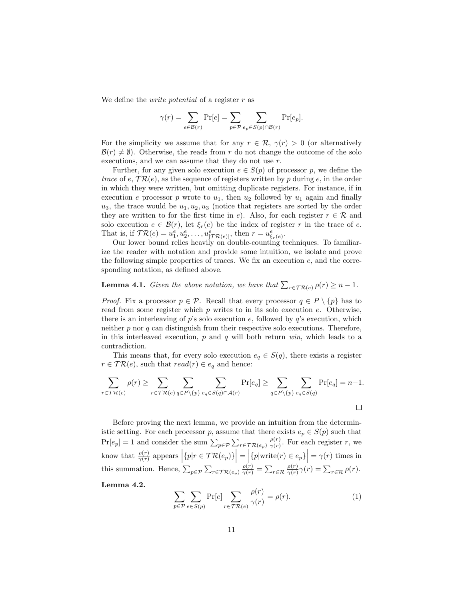We define the *write potential* of a register  $r$  as

$$
\gamma(r) = \sum_{e \in \mathcal{B}(r)} \Pr[e] = \sum_{p \in \mathcal{P}} \sum_{e_p \in S(p) \cap \mathcal{B}(r)} \Pr[e_p].
$$

For the simplicity we assume that for any  $r \in \mathcal{R}$ ,  $\gamma(r) > 0$  (or alternatively  $\mathcal{B}(r) \neq \emptyset$ . Otherwise, the reads from r do not change the outcome of the solo executions, and we can assume that they do not use r.

Further, for any given solo execution  $e \in S(p)$  of processor p, we define the trace of e,  $TR(e)$ , as the sequence of registers written by p during e, in the order in which they were written, but omitting duplicate registers. For instance, if in execution e processor p wrote to  $u_1$ , then  $u_2$  followed by  $u_1$  again and finally  $u_3$ , the trace would be  $u_1, u_2, u_3$  (notice that registers are sorted by the order they are written to for the first time in e). Also, for each register  $r \in \mathcal{R}$  and solo execution  $e \in \mathcal{B}(r)$ , let  $\xi_r(e)$  be the index of register r in the trace of e. That is, if  $\mathcal{TR}(e) = u_1^e, u_2^e, \dots, u_{|\mathcal{TR}(e)|}^e$ , then  $r = u_{\xi_r(e)}^e$ .

Our lower bound relies heavily on double-counting techniques. To familiarize the reader with notation and provide some intuition, we isolate and prove the following simple properties of traces. We fix an execution  $e$ , and the corresponding notation, as defined above.

### <span id="page-10-0"></span>**Lemma 4.1.** Given the above notation, we have that  $\sum_{r \in \mathcal{TR}(e)} \rho(r) \geq n - 1$ .

*Proof.* Fix a processor  $p \in \mathcal{P}$ . Recall that every processor  $q \in P \setminus \{p\}$  has to read from some register which  $p$  writes to in its solo execution  $e$ . Otherwise, there is an interleaving of  $p$ 's solo execution  $e$ , followed by  $q$ 's execution, which neither  $p$  nor  $q$  can distinguish from their respective solo executions. Therefore, in this interleaved execution,  $p$  and  $q$  will both return  $win$ , which leads to a contradiction.

This means that, for every solo execution  $e_q \in S(q)$ , there exists a register  $r \in \mathcal{TR}(e)$ , such that  $read(r) \in e_q$  and hence:

$$
\sum_{r \in \mathcal{TR}(e)} \rho(r) \ge \sum_{r \in \mathcal{TR}(e)} \sum_{q \in P \setminus \{p\}} \sum_{e_q \in S(q) \cap \mathcal{A}(r)} \Pr[e_q] \ge \sum_{q \in P \setminus \{p\}} \sum_{e_q \in S(q)} \Pr[e_q] = n-1.
$$

Before proving the next lemma, we provide an intuition from the deterministic setting. For each processor p, assume that there exists  $e_p \in S(p)$  such that  $\Pr[e_p] = 1$  and consider the sum  $\sum_{p \in \mathcal{P}} \sum_{r \in \mathcal{TR}(e_p)} \frac{\rho(r)}{\gamma(r)}$  $\frac{\rho(r)}{\gamma(r)}$ . For each register r, we know that  $\frac{\rho(r)}{\gamma(r)}$  appears  $\left| \{ p | r \in \mathcal{TR}(e_p) \} \right| = \left| \{ p | \text{write}(r) \in e_p \} \right| = \gamma(r)$  times in this summation. Hence,  $\sum_{p \in \mathcal{P}} \sum_{r \in \mathcal{TR}(e_p)} \frac{\rho(r)}{\gamma(r)} = \sum_{r \in \mathcal{R}} \frac{\rho(r)}{\gamma(r)}$  $\frac{\rho(r)}{\gamma(r)}\gamma(r)=\sum_{r\in\mathcal{R}}\rho(r).$ 

<span id="page-10-1"></span>Lemma 4.2.

$$
\sum_{p \in \mathcal{P}} \sum_{e \in S(p)} \Pr[e] \sum_{r \in \mathcal{TR}(e)} \frac{\rho(r)}{\gamma(r)} = \rho(r). \tag{1}
$$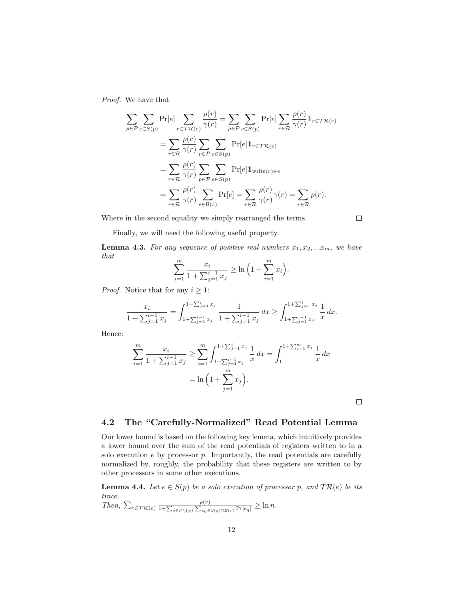Proof. We have that

$$
\sum_{p \in \mathcal{P}} \sum_{e \in S(p)} \Pr[e] \sum_{r \in \mathcal{TR}(e)} \frac{\rho(r)}{\gamma(r)} = \sum_{p \in \mathcal{P}} \sum_{e \in S(p)} \Pr[e] \sum_{r \in \mathcal{R}} \frac{\rho(r)}{\gamma(r)} 1_{r \in \mathcal{TR}(e)}
$$

$$
= \sum_{r \in \mathcal{R}} \frac{\rho(r)}{\gamma(r)} \sum_{p \in \mathcal{P}} \sum_{e \in S(p)} \Pr[e] 1_{r \in \mathcal{TR}(e)}
$$

$$
= \sum_{r \in \mathcal{R}} \frac{\rho(r)}{\gamma(r)} \sum_{p \in \mathcal{P}} \sum_{e \in S(p)} \Pr[e] 1_{\text{write}(r) \in e}
$$

$$
= \sum_{r \in \mathcal{R}} \frac{\rho(r)}{\gamma(r)} \sum_{e \in \mathcal{B}(r)} \Pr[e] = \sum_{r \in \mathcal{R}} \frac{\rho(r)}{\gamma(r)} \gamma(r) = \sum_{r \in \mathcal{R}} \rho(r).
$$

Where in the second equality we simply rearranged the terms.

Finally, we will need the following useful property.

<span id="page-11-0"></span>**Lemma 4.3.** For any sequence of positive real numbers  $x_1, x_2, ...x_m$ , we have that

$$
\sum_{i=1}^{m} \frac{x_i}{1 + \sum_{j=1}^{i-1} x_j} \ge \ln\left(1 + \sum_{i=1}^{m} x_i\right).
$$

*Proof.* Notice that for any  $i \geq 1$ :

$$
\frac{x_i}{1 + \sum_{j=1}^{i-1} x_j} = \int_{1 + \sum_{j=1}^{i-1} x_j}^{1 + \sum_{j=1}^{i} x_j} \frac{1}{1 + \sum_{j=1}^{i-1} x_j} dx \ge \int_{1 + \sum_{j=1}^{i-1} x_j}^{1 + \sum_{j=1}^{i} x_j} \frac{1}{x} dx.
$$

Hence:

$$
\sum_{i=1}^{m} \frac{x_i}{1 + \sum_{j=1}^{i-1} x_j} \ge \sum_{i=1}^{m} \int_{1 + \sum_{j=1}^{i-1} x_j}^{1 + \sum_{j=1}^{i} x_j} \frac{1}{x} dx = \int_{1}^{1 + \sum_{j=1}^{m} x_j} \frac{1}{x} dx
$$

$$
= \ln \left( 1 + \sum_{j=1}^{m} x_j \right).
$$

 $\Box$ 

 $\Box$ 

### 4.2 The "Carefully-Normalized" Read Potential Lemma

Our lower bound is based on the following key lemma, which intuitively provides a lower bound over the sum of the read potentials of registers written to in a solo execution  $e$  by processor  $p$ . Importantly, the read potentials are carefully normalized by, roughly, the probability that these registers are written to by other processors in some other executions.

<span id="page-11-1"></span>**Lemma 4.4.** Let  $e \in S(p)$  be a solo execution of processor p, and  $TR(e)$  be its trace.

Then,  $\sum_{r \in \mathcal{T} \mathcal{R}(e)} \frac{\rho(r)}{1 + \sum_{q \in P \setminus \{p\}} \sum_{e_q \in S(q) \cap \mathcal{B}(r)} \Pr[e_q]} \geq \ln n.$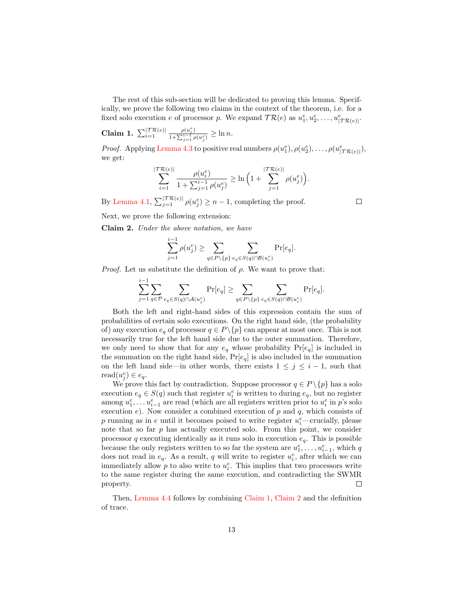The rest of this sub-section will be dedicated to proving this lemma. Specifically, we prove the following two claims in the context of the theorem, i.e. for a fixed solo execution e of processor p. We expand  $TR(e)$  as  $u_1^e, u_2^e, \ldots, u_{|TR(e)|}^e$ .

<span id="page-12-0"></span>Claim 1.  $\sum_{i=1}^{|\mathcal{T}\mathcal{R}(e)|}$  $\rho(u_i^e)$  $\frac{\rho(u_i)}{1+\sum_{j=1}^{i-1}\rho(u_j^e)} \geq \ln n.$ 

*Proof.* Applying [Lemma 4.3](#page-11-0) to positive real numbers  $\rho(u_1^e), \rho(u_2^e), \ldots, \rho(u_{|\mathcal{T}R(e)|}^e),$ we get:

$$
\sum_{i=1}^{|\mathcal{T}\mathcal{R}(e)|} \frac{\rho(u_i^e)}{1 + \sum_{j=1}^{i-1} \rho(u_j^e)} \geq \ln\left(1 + \sum_{j=1}^{|\mathcal{T}\mathcal{R}(e)|} \rho(u_j^e)\right).
$$

By [Lemma 4.1,](#page-10-0)  $\sum_{j=1}^{|\mathcal{T}\mathcal{R}(e)|} \rho(u_j^e) \geq n-1$ , completing the proof.

Next, we prove the following extension:

<span id="page-12-1"></span>Claim 2. Under the above notation, we have

$$
\sum_{j=1}^{i-1} \rho(u_j^e) \ge \sum_{q \in P \backslash \{p\}} \sum_{e_q \in S(q) \cap \mathcal{B}(u_i^e)} \Pr[e_q].
$$

*Proof.* Let us substitute the definition of  $\rho$ . We want to prove that:

$$
\sum_{j=1}^{i-1}\sum_{q\in\mathcal{P}}\sum_{e_q\in S(q)\cap\mathcal{A}(u_j^e)}\Pr[e_q]\geq\sum_{q\in P\backslash\{p\}}\sum_{e_q\in S(q)\cap\mathcal{B}(u_i^e)}\Pr[e_q].
$$

Both the left and right-hand sides of this expression contain the sum of probabilities of certain solo executions. On the right hand side, (the probability of) any execution  $e_q$  of processor  $q \in P \setminus \{p\}$  can appear at most once. This is not necessarily true for the left hand side due to the outer summation. Therefore, we only need to show that for any  $e_q$  whose probability  $Pr[e_q]$  is included in the summation on the right hand side,  $Pr[e_q]$  is also included in the summation on the left hand side—in other words, there exists  $1 \leq j \leq i - 1$ , such that read $(u_j^e) \in e_q$ .

We prove this fact by contradiction. Suppose processor  $q \in P \setminus \{p\}$  has a solo execution  $e_q \in S(q)$  such that register  $u_i^e$  is written to during  $e_q$ , but no register among  $u_1^e, \ldots u_{i-1}^e$  are read (which are all registers written prior to  $u_i^e$  in p's solo execution e). Now consider a combined execution of p and q, which consists of  $p$  running as in  $e$  until it becomes poised to write register  $u_i^e$ —crucially, please note that so far  $p$  has actually executed solo. From this point, we consider processor q executing identically as it runs solo in execution  $e_q$ . This is possible because the only registers written to so far the system are  $u_1^e, \ldots, u_{i-1}^e$ , which q does not read in  $e_q$ . As a result, q will write to register  $u_i^e$ , after which we can immediately allow  $p$  to also write to  $u_i^e$ . This implies that two processors write to the same register during the same execution, and contradicting the SWMR property.  $\Box$ 

Then, [Lemma 4.4](#page-11-1) follows by combining [Claim 1,](#page-12-0) [Claim 2](#page-12-1) and the definition of trace.

 $\Box$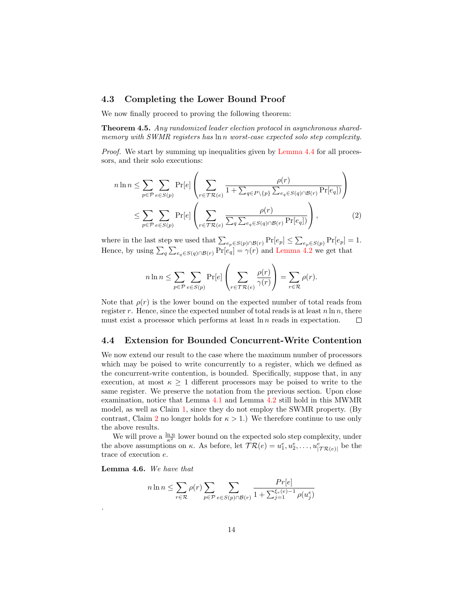#### <span id="page-13-0"></span>4.3 Completing the Lower Bound Proof

We now finally proceed to proving the following theorem:

<span id="page-13-2"></span>Theorem 4.5. Any randomized leader election protocol in asynchronous sharedmemory with SWMR registers has ln n worst-case expected solo step complexity.

*Proof.* We start by summing up inequalities given by [Lemma 4.4](#page-11-1) for all processors, and their solo executions:

$$
n \ln n \leq \sum_{p \in \mathcal{P}} \sum_{e \in S(p)} \Pr[e] \left( \sum_{r \in \mathcal{TR}(e)} \frac{\rho(r)}{1 + \sum_{q \in P \setminus \{p\}} \sum_{e_q \in S(q) \cap \mathcal{B}(r)} \Pr[e_q])} \right)
$$
  

$$
\leq \sum_{p \in \mathcal{P}} \sum_{e \in S(p)} \Pr[e] \left( \sum_{r \in \mathcal{TR}(e)} \frac{\rho(r)}{\sum_{q} \sum_{e_q \in S(q) \cap \mathcal{B}(r)} \Pr[e_q])} \right),
$$
 (2)

where in the last step we used that  $\sum_{e_p \in S(p) \cap \mathcal{B}(r)} \Pr[e_p] \leq \sum_{e_p \in S(p)} \Pr[e_p] = 1$ . Hence, by using  $\sum_{q} \sum_{e_q \in S(q) \cap \mathcal{B}(r)} \Pr[e_q] = \gamma(r)$  and [Lemma 4.2](#page-10-1) we get that

$$
n \ln n \leq \sum_{p \in \mathcal{P}} \sum_{e \in S(p)} \Pr[e] \left( \sum_{r \in \mathcal{TR}(e)} \frac{\rho(r)}{\gamma(r)} \right) = \sum_{r \in \mathcal{R}} \rho(r).
$$

Note that  $\rho(r)$  is the lower bound on the expected number of total reads from register r. Hence, since the expected number of total reads is at least  $n \ln n$ , there must exist a processor which performs at least  $\ln n$  reads in expectation.  $\Box$ 

#### <span id="page-13-1"></span>4.4 Extension for Bounded Concurrent-Write Contention

We now extend our result to the case where the maximum number of processors which may be poised to write concurrently to a register, which we defined as the concurrent-write contention, is bounded. Specifically, suppose that, in any execution, at most  $\kappa \geq 1$  different processors may be poised to write to the same register. We preserve the notation from the previous section. Upon close examination, notice that Lemma [4.1](#page-10-0) and Lemma [4.2](#page-10-1) still hold in this MWMR model, as well as Claim [1,](#page-12-0) since they do not employ the SWMR property. (By contrast, Claim [2](#page-12-1) no longer holds for  $\kappa > 1$ .) We therefore continue to use only the above results.

We will prove a  $\frac{\ln n}{\kappa^2}$  lower bound on the expected solo step complexity, under the above assumptions on  $\kappa$ . As before, let  $\mathcal{TR}(e) = u_1^e, u_2^e, \ldots, u_{|\mathcal{TR}(e)|}^e$  be the trace of execution e.

<span id="page-13-4"></span>Lemma 4.6. We have that

.

<span id="page-13-3"></span>
$$
n \ln n \le \sum_{r \in \mathcal{R}} \rho(r) \sum_{p \in \mathcal{P}} \sum_{e \in S(p) \cap \mathcal{B}(r)} \frac{Pr[e]}{1 + \sum_{j=1}^{\xi_r(e)-1} \rho(u_j^e)}
$$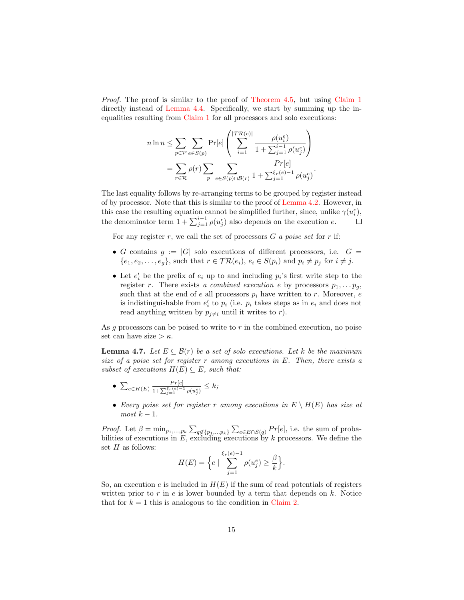Proof. The proof is similar to the proof of [Theorem 4.5,](#page-13-2) but using [Claim 1](#page-12-0) directly instead of [Lemma 4.4.](#page-11-1) Specifically, we start by summing up the inequalities resulting from [Claim 1](#page-12-0) for all processors and solo executions:

$$
n\ln n \leq \sum_{p\in\mathcal{P}}\sum_{e\in S(p)} \Pr[e] \left(\sum_{i=1}^{|\mathcal{TR}(e)|} \frac{\rho(u_i^e)}{1+\sum_{j=1}^{i-1}\rho(u_j^e)}\right) = \sum_{r\in\mathcal{R}} \rho(r) \sum_p \sum_{e\in S(p)\cap\mathcal{B}(r)} \frac{Pr[e]}{1+\sum_{j=1}^{\xi_r(e)-1}\rho(u_j^e)}.
$$

The last equality follows by re-arranging terms to be grouped by register instead of by processor. Note that this is similar to the proof of [Lemma 4.2.](#page-10-1) However, in this case the resulting equation cannot be simplified further, since, unlike  $\gamma(u_i^e)$ , the denominator term  $1 + \sum_{j=1}^{i-1} \rho(u_j^e)$  also depends on the execution e.  $\Box$ 

For any register r, we call the set of processors  $G$  a poise set for r if:

- G contains  $g := |G|$  solo executions of different processors, i.e.  $G =$  $\{e_1, e_2, \ldots, e_q\}$ , such that  $r \in \mathcal{TR}(e_i)$ ,  $e_i \in S(p_i)$  and  $p_i \neq p_j$  for  $i \neq j$ .
- Let  $e'_i$  be the prefix of  $e_i$  up to and including  $p_i$ 's first write step to the register r. There exists a combined execution e by processors  $p_1, \ldots, p_q$ , such that at the end of e all processors  $p_i$  have written to r. Moreover, e is indistinguishable from  $e'_i$  to  $p_i$  (i.e.  $p_i$  takes steps as in  $e_i$  and does not read anything written by  $p_{j\neq i}$  until it writes to r).

As g processors can be poised to write to  $r$  in the combined execution, no poise set can have size  $>\kappa$ .

<span id="page-14-0"></span>**Lemma 4.7.** Let  $E \subseteq \mathcal{B}(r)$  be a set of solo executions. Let k be the maximum size of a poise set for register r among executions in E. Then, there exists a subset of executions  $H(E) \subseteq E$ , such that:

- $\sum_{e \in H(E)} \frac{Pr[e]}{1 + \sum_{e \in F(e)}$  $\frac{Pr[e]}{1+\sum_{j=1}^{\xi_r(e)-1}\rho(u_j^e)}\leq k;$
- Every poise set for register r among executions in  $E \setminus H(E)$  has size at  $most\ k-1.$

*Proof.* Let  $\beta = \min_{p_1,...,p_k} \sum_{q \notin \{p_1,...,p_k\}} \sum_{e \in E \cap S(q)} Pr[e]$ , i.e. the sum of probabilities of executions in  $E$ , excluding executions by k processors. We define the set  $H$  as follows:

$$
H(E) = \Big\{ e \mid \sum_{j=1}^{\xi_r(e)-1} \rho(u_j^e) \ge \frac{\beta}{k} \Big\}.
$$

So, an execution e is included in  $H(E)$  if the sum of read potentials of registers written prior to r in  $e$  is lower bounded by a term that depends on  $k$ . Notice that for  $k = 1$  this is analogous to the condition in [Claim 2.](#page-12-1)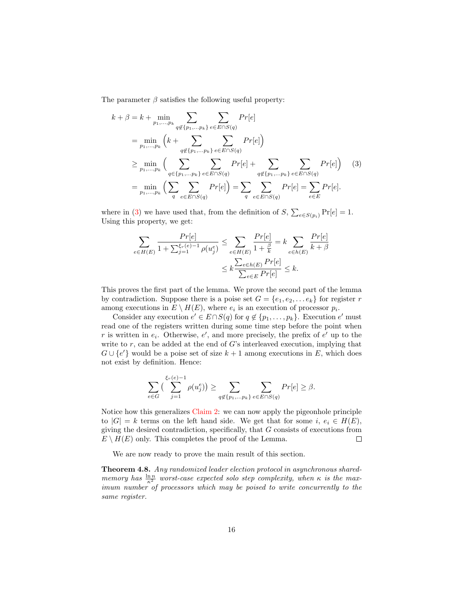The parameter  $\beta$  satisfies the following useful property:

$$
k + \beta = k + \min_{p_1, ..., p_k} \sum_{q \notin \{p_1, ..., p_k\}} \sum_{e \in E \cap S(q)} Pr[e]
$$
  
= 
$$
\min_{p_1, ..., p_k} \left( k + \sum_{q \notin \{p_1, ..., p_k\}} \sum_{e \in E \cap S(q)} Pr[e] \right)
$$
  

$$
\geq \min_{p_1, ..., p_k} \left( \sum_{q \in \{p_1, ..., p_k\}} \sum_{e \in E \cap S(q)} Pr[e] + \sum_{q \notin \{p_1, ..., p_k\}} \sum_{e \in E \cap S(q)} Pr[e] \right) (3)
$$
  
= 
$$
\min_{p_1, ..., p_k} \left( \sum_{q} \sum_{e \in E \cap S(q)} Pr[e] \right) = \sum_{q} \sum_{e \in E \cap S(q)} Pr[e] = \sum_{e \in E} Pr[e].
$$

where in [\(3\)](#page-13-3) we have used that, from the definition of  $S$ ,  $\sum_{e \in S(p_i)} \Pr[e] = 1$ . Using this property, we get:

$$
\sum_{e \in H(E)} \frac{Pr[e]}{1 + \sum_{j=1}^{\xi_r(e)-1} \rho(u_j^e)} \le \sum_{e \in H(E)} \frac{Pr[e]}{1 + \frac{\beta}{k}} = k \sum_{e \in h(E)} \frac{Pr[e]}{k + \beta}
$$

$$
\le k \frac{\sum_{e \in h(E)} Pr[e]}{\sum_{e \in E} Pr[e]} \le k.
$$

This proves the first part of the lemma. We prove the second part of the lemma by contradiction. Suppose there is a poise set  $G = \{e_1, e_2, \dots e_k\}$  for register r among executions in  $E \setminus H(E)$ , where  $e_i$  is an execution of processor  $p_i$ .

Consider any execution  $e' \in E \cap S(q)$  for  $q \notin \{p_1, \ldots, p_k\}$ . Execution  $e'$  must read one of the registers written during some time step before the point when r is written in  $e_i$ . Otherwise,  $e'$ , and more precisely, the prefix of  $e'$  up to the write to  $r$ , can be added at the end of  $G$ 's interleaved execution, implying that  $G \cup \{e'\}$  would be a poise set of size  $k+1$  among executions in E, which does not exist by definition. Hence:

$$
\sum_{e \in G} \left( \sum_{j=1}^{\xi_r(e)-1} \rho(u_j^e) \right) \ge \sum_{q \notin \{p_1, \dots, p_k\}} \sum_{e \in E \cap S(q)} Pr[e] \ge \beta.
$$

Notice how this generalizes [Claim 2:](#page-12-1) we can now apply the pigeonhole principle to  $|G| = k$  terms on the left hand side. We get that for some  $i, e_i \in H(E)$ , giving the desired contradiction, specifically, that G consists of executions from  $E \setminus H(E)$  only. This completes the proof of the Lemma.  $\Box$ 

We are now ready to prove the main result of this section.

Theorem 4.8. Any randomized leader election protocol in asynchronous sharedmemory has  $\frac{\ln n}{\kappa^2}$  worst-case expected solo step complexity, when  $\kappa$  is the maximum number of processors which may be poised to write concurrently to the same register.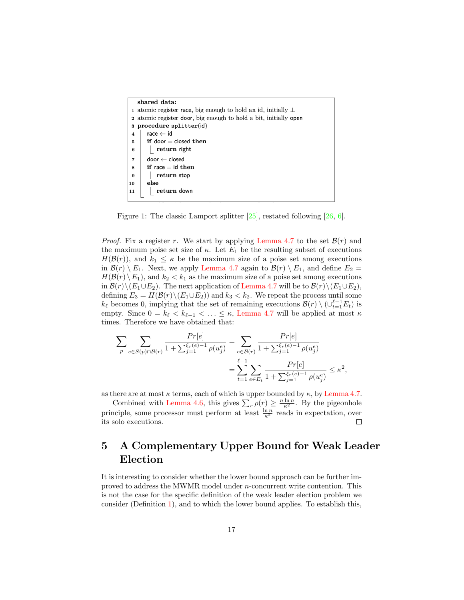| shared data:                                                        |                                        |
|---------------------------------------------------------------------|----------------------------------------|
| 1 atomic register race, big enough to hold an id, initially $\perp$ |                                        |
| 2 atomic register door, big enough to hold a bit, initially open    |                                        |
| procedure splitter(id)                                              |                                        |
| 4                                                                   | $\mathsf{race} \leftarrow \mathsf{id}$ |
| 5                                                                   | if door $=$ closed then                |
| 6                                                                   | return right                           |
| $\overline{7}$                                                      | $door \leftarrow closed$               |
| 8                                                                   | if race $=$ id then                    |
| 9                                                                   | return stop                            |
| 10                                                                  | else                                   |
| 11                                                                  | return down                            |
|                                                                     |                                        |

<span id="page-16-0"></span>Figure 1: The classic Lamport splitter  $[25]$ , restated following  $[26, 6]$  $[26, 6]$ .

*Proof.* Fix a register r. We start by applying [Lemma 4.7](#page-14-0) to the set  $\mathcal{B}(r)$  and the maximum poise set size of  $\kappa$ . Let  $E_1$  be the resulting subset of executions  $H(\mathcal{B}(r))$ , and  $k_1 \leq \kappa$  be the maximum size of a poise set among executions in  $\mathcal{B}(r) \setminus E_1$ . Next, we apply [Lemma 4.7](#page-14-0) again to  $\mathcal{B}(r) \setminus E_1$ , and define  $E_2 =$  $H(\mathcal{B}(r) \setminus E_1)$ , and  $k_2 < k_1$  as the maximum size of a poise set among executions in  $\mathcal{B}(r)\backslash (E_1\cup E_2)$ . The next application of [Lemma 4.7](#page-14-0) will be to  $\mathcal{B}(r)\backslash (E_1\cup E_2)$ , defining  $E_3 = H(\mathcal{B}(r) \setminus (E_1 \cup E_2))$  and  $k_3 < k_2$ . We repeat the process until some  $k_{\ell}$  becomes 0, implying that the set of remaining executions  $\mathcal{B}(r) \setminus (\cup_{t=1}^{\ell-1} E_t)$  is empty. Since  $0 = k_{\ell} < k_{\ell-1} < \ldots \leq \kappa$ , [Lemma 4.7](#page-14-0) will be applied at most  $\kappa$ times. Therefore we have obtained that:

$$
\begin{split} \sum_{p} \sum_{e \in S(p) \cap \mathcal{B}(r)} \frac{Pr[e]}{1 + \sum_{j=1}^{\xi_r(e)-1} \rho(u_j^e)} &= \sum_{e \in \mathcal{B}(r)} \frac{Pr[e]}{1 + \sum_{j=1}^{\xi_r(e)-1} \rho(u_j^e)} \\ &= \sum_{t=1}^{\ell-1} \sum_{e \in E_t} \frac{Pr[e]}{1 + \sum_{j=1}^{\xi_r(e)-1} \rho(u_j^e)} \leq \kappa^2, \end{split}
$$

as there are at most  $\kappa$  terms, each of which is upper bounded by  $\kappa$ , by [Lemma 4.7.](#page-14-0)

Combined with [Lemma 4.6,](#page-13-4) this gives  $\sum_{r} \rho(r) \geq \frac{n \ln n}{\kappa^2}$ . By the pigeonhole principle, some processor must perform at least  $\frac{\ln n}{\kappa^2}$  reads in expectation, over its solo executions.

## 5 A Complementary Upper Bound for Weak Leader Election

It is interesting to consider whether the lower bound approach can be further improved to address the MWMR model under n-concurrent write contention. This is not the case for the specific definition of the weak leader election problem we consider (Definition [1\)](#page-5-1), and to which the lower bound applies. To establish this,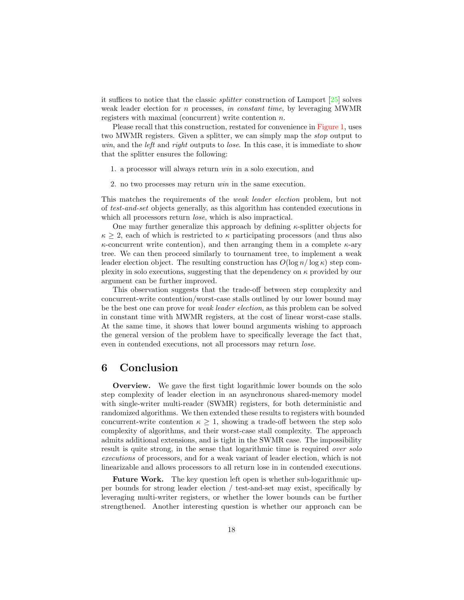it suffices to notice that the classic splitter construction of Lamport [\[25\]](#page-19-13) solves weak leader election for n processes, in constant time, by leveraging MWMR registers with maximal (concurrent) write contention n.

Please recall that this construction, restated for convenience in [Figure 1,](#page-16-0) uses two MWMR registers. Given a splitter, we can simply map the stop output to win, and the *left* and *right* outputs to *lose*. In this case, it is immediate to show that the splitter ensures the following:

- 1. a processor will always return win in a solo execution, and
- 2. no two processes may return win in the same execution.

This matches the requirements of the weak leader election problem, but not of test-and-set objects generally, as this algorithm has contended executions in which all processors return *lose*, which is also impractical.

One may further generalize this approach by defining  $\kappa$ -splitter objects for  $\kappa > 2$ , each of which is restricted to  $\kappa$  participating processors (and thus also  $\kappa$ -concurrent write contention), and then arranging them in a complete  $\kappa$ -ary tree. We can then proceed similarly to tournament tree, to implement a weak leader election object. The resulting construction has  $O(\log n/\log \kappa)$  step complexity in solo executions, suggesting that the dependency on  $\kappa$  provided by our argument can be further improved.

This observation suggests that the trade-off between step complexity and concurrent-write contention/worst-case stalls outlined by our lower bound may be the best one can prove for weak leader election, as this problem can be solved in constant time with MWMR registers, at the cost of linear worst-case stalls. At the same time, it shows that lower bound arguments wishing to approach the general version of the problem have to specifically leverage the fact that, even in contended executions, not all processors may return lose.

### 6 Conclusion

Overview. We gave the first tight logarithmic lower bounds on the solo step complexity of leader election in an asynchronous shared-memory model with single-writer multi-reader (SWMR) registers, for both deterministic and randomized algorithms. We then extended these results to registers with bounded concurrent-write contention  $\kappa > 1$ , showing a trade-off between the step solo complexity of algorithms, and their worst-case stall complexity. The approach admits additional extensions, and is tight in the SWMR case. The impossibility result is quite strong, in the sense that logarithmic time is required *over solo* executions of processors, and for a weak variant of leader election, which is not linearizable and allows processors to all return lose in in contended executions.

Future Work. The key question left open is whether sub-logarithmic upper bounds for strong leader election / test-and-set may exist, specifically by leveraging multi-writer registers, or whether the lower bounds can be further strengthened. Another interesting question is whether our approach can be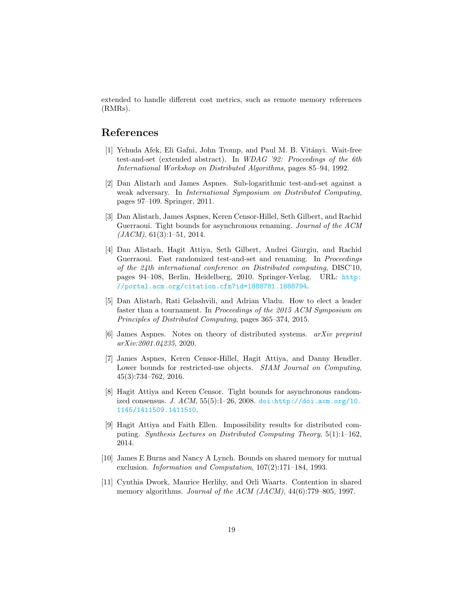extended to handle different cost metrics, such as remote memory references (RMRs).

### References

- <span id="page-18-0"></span>[1] Yehuda Afek, Eli Gafni, John Tromp, and Paul M. B. Vitányi. Wait-free test-and-set (extended abstract). In WDAG '92: Proceedings of the 6th International Workshop on Distributed Algorithms, pages 85–94, 1992.
- <span id="page-18-2"></span>[2] Dan Alistarh and James Aspnes. Sub-logarithmic test-and-set against a weak adversary. In International Symposium on Distributed Computing, pages 97–109. Springer, 2011.
- <span id="page-18-4"></span>[3] Dan Alistarh, James Aspnes, Keren Censor-Hillel, Seth Gilbert, and Rachid Guerraoui. Tight bounds for asynchronous renaming. Journal of the ACM  $(JACM), 61(3):1-51, 2014.$
- <span id="page-18-1"></span>[4] Dan Alistarh, Hagit Attiya, Seth Gilbert, Andrei Giurgiu, and Rachid Guerraoui. Fast randomized test-and-set and renaming. In *Proceedings* of the 24th international conference on Distributed computing, DISC'10, pages 94–108, Berlin, Heidelberg, 2010. Springer-Verlag. URL: [http:](http://portal.acm.org/citation.cfm?id=1888781.1888794) [//portal.acm.org/citation.cfm?id=1888781.1888794](http://portal.acm.org/citation.cfm?id=1888781.1888794).
- <span id="page-18-5"></span>[5] Dan Alistarh, Rati Gelashvili, and Adrian Vladu. How to elect a leader faster than a tournament. In Proceedings of the 2015 ACM Symposium on Principles of Distributed Computing, pages 365–374, 2015.
- <span id="page-18-10"></span>[6] James Aspnes. Notes on theory of distributed systems. arXiv preprint arXiv:2001.04235, 2020.
- <span id="page-18-9"></span>[7] James Aspnes, Keren Censor-Hillel, Hagit Attiya, and Danny Hendler. Lower bounds for restricted-use objects. SIAM Journal on Computing, 45(3):734–762, 2016.
- <span id="page-18-3"></span>[8] Hagit Attiya and Keren Censor. Tight bounds for asynchronous randomized consensus. J.  $ACM$ ,  $55(5)$ :1–26, 2008. [doi:http://doi.acm.org/10.](https://doi.org/http://doi.acm.org/10.1145/1411509.1411510) [1145/1411509.1411510](https://doi.org/http://doi.acm.org/10.1145/1411509.1411510).
- <span id="page-18-8"></span>[9] Hagit Attiya and Faith Ellen. Impossibility results for distributed computing. Synthesis Lectures on Distributed Computing Theory, 5(1):1–162, 2014.
- <span id="page-18-7"></span>[10] James E Burns and Nancy A Lynch. Bounds on shared memory for mutual exclusion. Information and Computation, 107(2):171–184, 1993.
- <span id="page-18-6"></span>[11] Cynthia Dwork, Maurice Herlihy, and Orli Waarts. Contention in shared memory algorithms. Journal of the ACM (JACM), 44(6):779-805, 1997.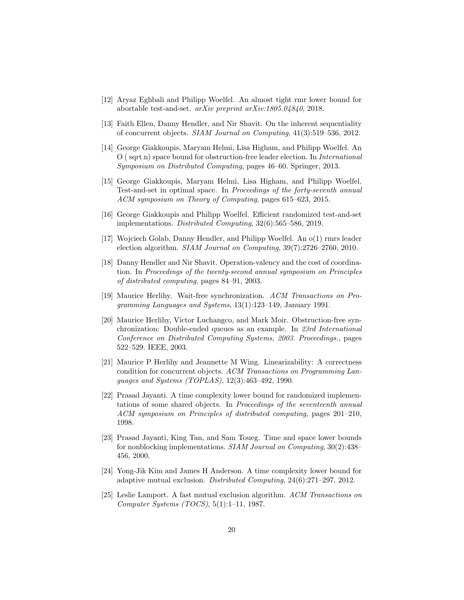- <span id="page-19-9"></span>[12] Aryaz Eghbali and Philipp Woelfel. An almost tight rmr lower bound for abortable test-and-set. arXiv preprint arXiv:1805.04840, 2018.
- <span id="page-19-8"></span>[13] Faith Ellen, Danny Hendler, and Nir Shavit. On the inherent sequentiality of concurrent objects. SIAM Journal on Computing, 41(3):519–536, 2012.
- <span id="page-19-3"></span>[14] George Giakkoupis, Maryam Helmi, Lisa Higham, and Philipp Woelfel. An O ( sqrt n) space bound for obstruction-free leader election. In International Symposium on Distributed Computing, pages 46–60. Springer, 2013.
- <span id="page-19-2"></span>[15] George Giakkoupis, Maryam Helmi, Lisa Higham, and Philipp Woelfel. Test-and-set in optimal space. In Proceedings of the forty-seventh annual ACM symposium on Theory of Computing, pages 615–623, 2015.
- <span id="page-19-1"></span>[16] George Giakkoupis and Philipp Woelfel. Efficient randomized test-and-set implementations. Distributed Computing, 32(6):565–586, 2019.
- <span id="page-19-7"></span>[17] Wojciech Golab, Danny Hendler, and Philipp Woelfel. An o(1) rmrs leader election algorithm. SIAM Journal on Computing, 39(7):2726–2760, 2010.
- <span id="page-19-10"></span>[18] Danny Hendler and Nir Shavit. Operation-valency and the cost of coordination. In Proceedings of the twenty-second annual symposium on Principles of distributed computing, pages 84–91, 2003.
- <span id="page-19-0"></span>[19] Maurice Herlihy. Wait-free synchronization. ACM Transactions on Programming Languages and Systems, 13(1):123–149, January 1991.
- <span id="page-19-11"></span>[20] Maurice Herlihy, Victor Luchangco, and Mark Moir. Obstruction-free synchronization: Double-ended queues as an example. In 23rd International Conference on Distributed Computing Systems, 2003. Proceedings., pages 522–529. IEEE, 2003.
- <span id="page-19-12"></span>[21] Maurice P Herlihy and Jeannette M Wing. Linearizability: A correctness condition for concurrent objects. ACM Transactions on Programming Languages and Systems (TOPLAS), 12(3):463–492, 1990.
- <span id="page-19-6"></span>[22] Prasad Jayanti. A time complexity lower bound for randomized implementations of some shared objects. In Proceedings of the seventeenth annual ACM symposium on Principles of distributed computing, pages 201–210, 1998.
- <span id="page-19-4"></span>[23] Prasad Jayanti, King Tan, and Sam Toueg. Time and space lower bounds for nonblocking implementations. SIAM Journal on Computing, 30(2):438– 456, 2000.
- <span id="page-19-5"></span>[24] Yong-Jik Kim and James H Anderson. A time complexity lower bound for adaptive mutual exclusion. Distributed Computing, 24(6):271–297, 2012.
- <span id="page-19-13"></span>[25] Leslie Lamport. A fast mutual exclusion algorithm. ACM Transactions on Computer Systems (TOCS), 5(1):1–11, 1987.